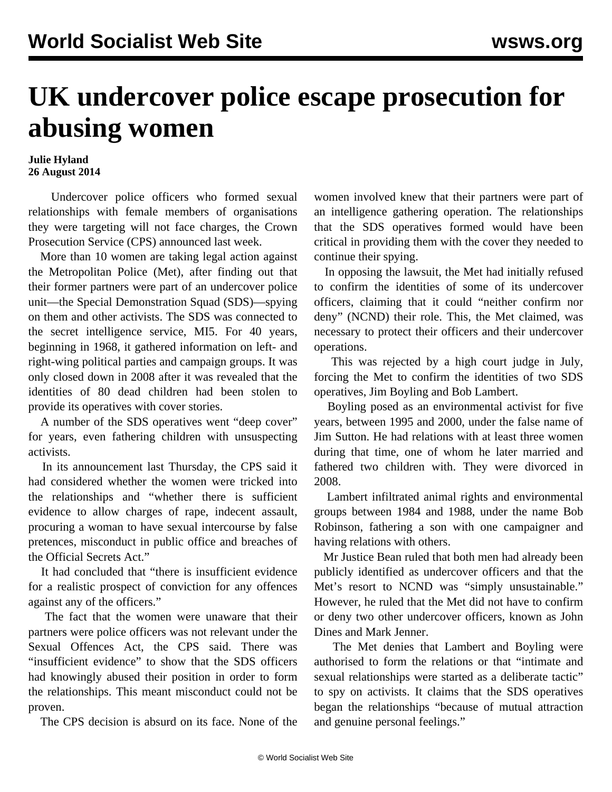## **UK undercover police escape prosecution for abusing women**

## **Julie Hyland 26 August 2014**

 Undercover police officers who formed sexual relationships with female members of organisations they were targeting will not face charges, the Crown Prosecution Service (CPS) announced last week.

 More than 10 women are taking legal action against the Metropolitan Police (Met), after finding out that their former partners were part of an undercover police unit—the Special Demonstration Squad (SDS)—spying on them and other activists. The SDS was connected to the secret intelligence service, MI5. For 40 years, beginning in 1968, it gathered information on left- and right-wing political parties and campaign groups. It was only closed down in 2008 after it was revealed that the identities of 80 dead children had been stolen to provide its operatives with cover stories.

 A number of the SDS operatives went "deep cover" for years, even fathering children with unsuspecting activists.

 In its announcement last Thursday, the CPS said it had considered whether the women were tricked into the relationships and "whether there is sufficient evidence to allow charges of rape, indecent assault, procuring a woman to have sexual intercourse by false pretences, misconduct in public office and breaches of the Official Secrets Act."

 It had concluded that "there is insufficient evidence for a realistic prospect of conviction for any offences against any of the officers."

 The fact that the women were unaware that their partners were police officers was not relevant under the Sexual Offences Act, the CPS said. There was "insufficient evidence" to show that the SDS officers had knowingly abused their position in order to form the relationships. This meant misconduct could not be proven.

The CPS decision is absurd on its face. None of the

women involved knew that their partners were part of an intelligence gathering operation. The relationships that the SDS operatives formed would have been critical in providing them with the cover they needed to continue their spying.

 In opposing the lawsuit, the Met had initially refused to confirm the identities of some of its undercover officers, claiming that it could "neither confirm nor deny" (NCND) their role. This, the Met claimed, was necessary to protect their officers and their undercover operations.

 This was rejected by a high court judge in July, forcing the Met to confirm the identities of two SDS operatives, Jim Boyling and Bob Lambert.

 Boyling posed as an environmental activist for five years, between 1995 and 2000, under the false name of Jim Sutton. He had relations with at least three women during that time, one of whom he later married and fathered two children with. They were divorced in 2008.

 Lambert infiltrated animal rights and environmental groups between 1984 and 1988, under the name Bob Robinson, fathering a son with one campaigner and having relations with others.

 Mr Justice Bean ruled that both men had already been publicly identified as undercover officers and that the Met's resort to NCND was "simply unsustainable." However, he ruled that the Met did not have to confirm or deny two other undercover officers, known as John Dines and Mark Jenner.

 The Met denies that Lambert and Boyling were authorised to form the relations or that "intimate and sexual relationships were started as a deliberate tactic" to spy on activists. It claims that the SDS operatives began the relationships "because of mutual attraction and genuine personal feelings."